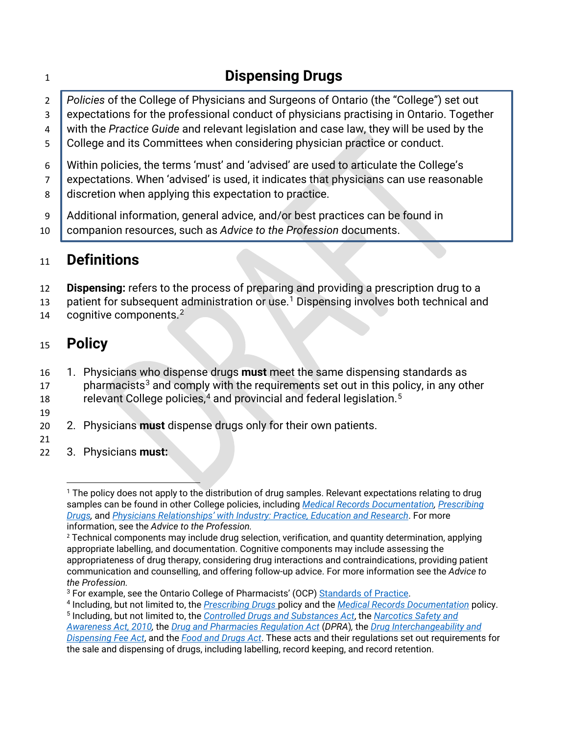|                     | <b>Dispensing Drugs</b>                                                                                                                                                          |
|---------------------|----------------------------------------------------------------------------------------------------------------------------------------------------------------------------------|
| $\overline{2}$<br>3 | Policies of the College of Physicians and Surgeons of Ontario (the "College") set out<br>expectations for the professional conduct of physicians practising in Ontario. Together |
| 4                   | with the Practice Guide and relevant legislation and case law, they will be used by the                                                                                          |
| 5                   | College and its Committees when considering physician practice or conduct.                                                                                                       |
| 6                   | Within policies, the terms 'must' and 'advised' are used to articulate the College's<br>expectations. When 'advised' is used, it indicates that physicians can use reasonable    |
| 8                   | discretion when applying this expectation to practice.                                                                                                                           |
| -9<br>10            | Additional information, general advice, and/or best practices can be found in<br>companion resources, such as Advice to the Profession documents.                                |
| 11                  | <b>Definitions</b>                                                                                                                                                               |

- **Dispensing:** refers to the process of preparing and providing a prescription drug to a
- 3 patient for subsequent administration or use.<sup>1</sup> Dispensing involves both technical and
- 14 cognitive components.

## **Policy**

- 1. Physicians who dispense drugs **must** meet the same dispensing standards as pharmacists<sup>[3](#page-0-2)</sup> and comply with the requirements set out in this policy, in any other relevant College policies, [4](#page-0-3) and provincial and federal legislation. [5](#page-0-4)
- 
- 2. Physicians **must** dispense drugs only for their own patients.
- 3. Physicians **must:**

<span id="page-0-0"></span><sup>&</sup>lt;sup>1</sup> The policy does not apply to the distribution of drug samples. Relevant expectations relating to drug samples can be found in other College policies, including *[Medical Records Documentation,](https://www.cpso.on.ca/Physicians/Policies-Guidance/Policies/Medical-Records-Documentation) [Prescribing](https://www.cpso.on.ca/Physicians/Policies-Guidance/Policies/Prescribing-Drugs)  [Drugs,](https://www.cpso.on.ca/Physicians/Policies-Guidance/Policies/Prescribing-Drugs)* and *[Physicians Relationships' with Industry: Practice, Education and Research](https://www.cpso.on.ca/Physicians/Policies-Guidance/Policies/Physicians-Relationships-with-Industry-Practice)*. For more information, see the *Advice to the Profession.*

<span id="page-0-1"></span> Technical components may include drug selection, verification, and quantity determination, applying appropriate labelling, and documentation. Cognitive components may include assessing the appropriateness of drug therapy, considering drug interactions and contraindications, providing patient communication and counselling, and offering follow-up advice. For more information see the *Advice to the Profession.*

<span id="page-0-3"></span><span id="page-0-2"></span> For example, see the Ontario College of Pharmacists' (OCP) [Standards of Practice.](https://www.ocpinfo.com/regulations-standards/standards-practice/) 4 Including, but not limited to, the *[Prescribing Drugs](http://www.cpso.on.ca/Physicians/Policies-Guidance/Policies/Prescribing-Drugs)* policy and the *[Medical Records Documentation](https://www.cpso.on.ca/Physicians/Policies-Guidance/Policies/Medical-Records-Documentation)* policy. Including, but not limited to, the *Controlled [Drugs and Substances Act](https://laws-lois.justice.gc.ca/eng/acts/c-38.8/)*, the *[Narcotics Safety and](https://www.ontario.ca/laws/statute/10n22)* 

<span id="page-0-4"></span>*[Awareness Act, 2010,](https://www.ontario.ca/laws/statute/10n22)* the *[Drug and Pharmacies Regulation Act](https://www.ontario.ca/laws/statute/90h04)* (*DPRA*)*,* the *[Drug Interchangeability and](https://www.ontario.ca/laws/statute/90p23)  [Dispensing Fee Act](https://www.ontario.ca/laws/statute/90p23)*, and the *[Food and Drugs Act](https://laws-lois.justice.gc.ca/eng/acts/f-27/)*. These acts and their regulations set out requirements for the sale and dispensing of drugs, including labelling, record keeping, and record retention.